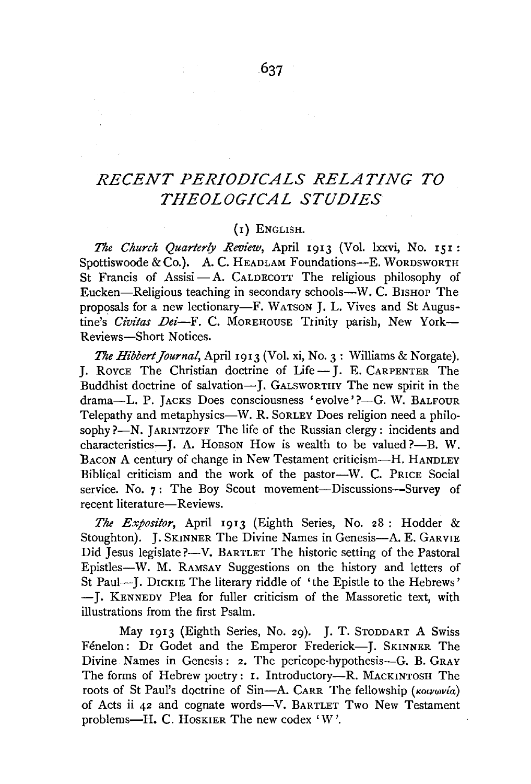# *RECENT PERIODICALS RELATING TO THEOLOGICAL STUDIES*

## (I) ENGLISH.

*The Church Quarterly Review,* April 1913 (Vol. lxxvi, No. 151 : Spottiswoode & Co.). A. C. HEADLAM Foundations--E. WORDSWORTH St Francis of Assisi - A. CALDECOTT The religious philosophy of Eucken-Religious teaching in secondary schools-W. C. BISHOP The proposals for a new lectionary-F. WATSON J. L. Vives and St Augustine's *Civitas Dei*-F. C. MOREHOUSE Trinity parish, New York-Reviews-Short Notices.

*The Hibbert Journal*, *April 1913* (Vol. xi, No. 3: Williams & Norgate). J. RovcE The Christian doctrine of Life-J. E. CARPENTER The Buddhist doctrine of salvation-J. GALSWORTHY The new spirit in the drama-L. P. JACKS Does consciousness 'evolve'?-G. W. BALFOUR Telepathy and metaphysics-W. R. SoRLEY Does religion need a philosophy ?-N. JARINTZOFF The life of the Russian clergy: incidents and characteristics-J. A. Hobson How is wealth to be valued ?--B. W. BACON A century of change in New Testament criticism—H. HANDLEY Biblical criticism and the work of the pastor-W. C. PRICE Social service. No. 7: The Boy Scout movement---Discussions--Survey of recent literature-Reviews.

*The Expositor,* April 1913 (Eighth Series, No. 28 : Hodder & Stoughton). J. SKINNER The Divine Names in Genesis-A. E. GARVIE Did Jesus legislate?—V. BARTLET The historic setting of the Pastoral Epistles-W. M. RAMSAY Suggestions on the history and letters of St Paul—J. DICKIE The literary riddle of 'the Epistle to the Hebrews' - J. KENNEDY Plea for fuller criticism of the Massoretic text, with illustrations from the first Psalm.

May 1913 (Eighth Series, No. 29). J. T. STODDART A Swiss Fénelon: Dr Godet and the Emperor Frederick-J. SKINNER The Divine Names in Genesis: 2. The pericope-hypothesis-G. B. GRAY The forms of Hebrew poetry: **1.** Introductory-R. MACKINTOSH The roots of St Paul's doctrine of Sin-A. CARR The fellowship *(KOLVWVia)* of Acts ii 42 and cognate words-V. BARTLET Two New Testament problems-H. C. Hoskier The new codex 'W'.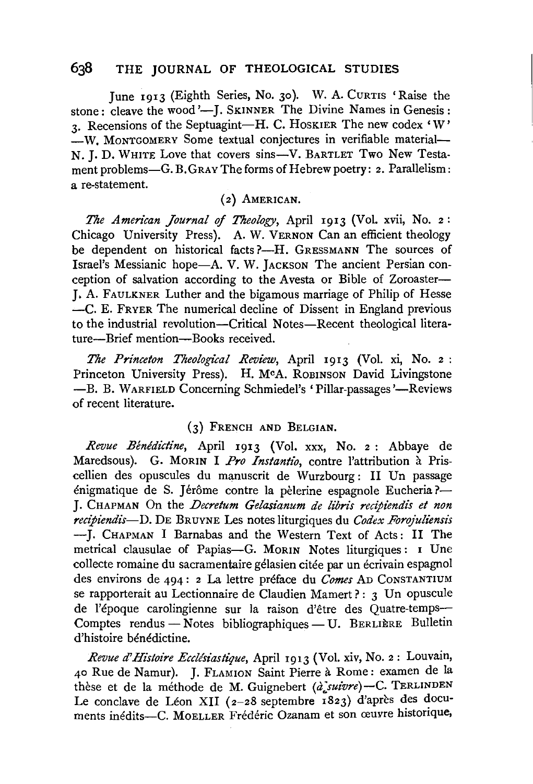## 638 THE JOURNAL OF THEOLOGICAL STUDIES

June 1913 (Eighth Series, No. 30). W. A. CURTIS 'Raise the stone: cleave the wood '-I. SKINNER The Divine Names in Genesis: 3. Recensions of the Septuagint-H. C. HOSKIER The new codex 'W' -W. MONTGOMERY Some textual conjectures in verifiable material-N. J. D. WHITE Love that covers sins-V. BARTLET Two New Testament problems-G. B. GRAY The forms of Hebrew poetry: 2. Parallelism: a re-statement.

#### (2) AMERICAN.

*The American Journal* of *Theology,* April 1913 (Vol. xvii, No. 2: Chicago University Press). A. W. VERNON Can an efficient theology be dependent on historical facts ?-H. GRESSMANN The sources of Israel's Messianic hope-A. V. W. JACKSON The ancient Persian conception of salvation according to the Avesta or Bible of Zoroaster-J. A. FAULKNER Luther and the bigamous marriage of Philip of Hesse -C. E. FRYER The numerical decline of Dissent in England previous to the industrial revolution-Critical Notes-Recent theological literature-Brief mention-Books received.

*The Princeton Theological Review,* April 1913 (Vol. xi, No. 2 : Princeton University Press). H. McA. ROBINSON David Livingstone -B. B. WARFIELD Concerning Schmiedel's 'Pillar-passages'-Reviews of recent literature.

#### (3) FRENCH AND BELGIAN.

*Revue Benedictine,* April 1913 (Vol. xxx, No. 2 : Abbaye de Maredsous). G. MORIN I Pro Instantio, contre l'attribution à Priscellien des opuscules du manuscrit de Wurzbourg: II Un passage énigmatique de S. Jérôme contre la pèlerine espagnole Eucheria ?-J. CHAPMAN On the *Decretum Gelasianum de libris recipiendis et non recipiendis*-D. DE BRUYNE Les notes liturgiques du *Codex Forojuliensis* -J. CHAPMAN I Barnabas and the Western Text of Acts: II The metrical clausulae of Papias-G. MoRIN Notes liturgiques: 1 Une collecte romaine du sacramentaire gelasien citee par un ecrivain espagnol des environs de 494 : 2 La lettre preface du *Comes* AD CoNSTANTIUM se rapporterait au Lectionnaire de Claudien Mamert?: 3 Un opuscule de l'époque carolingienne sur la raison d'être des Quatre-temps-Comptes rendus - Notes bibliographiques - U. BERLIERE Bulletin d'histoire bénédictine.

*Revue d'Htstoire Eccllsiastique,* April 1913 (Vol. xiv, No. 2: Louvain, 40 Rue de Namur). J. FLAMION Saint Pierre a Rome: examen de la thèse et de la méthode de M. Guignebert *(à suivre)*-C. TERLINDEN Le conclave de Léon XII (2-28 septembre 1823) d'après des documents inédits-C. MOELLER Frédéric Ozanam et son œuvre historique,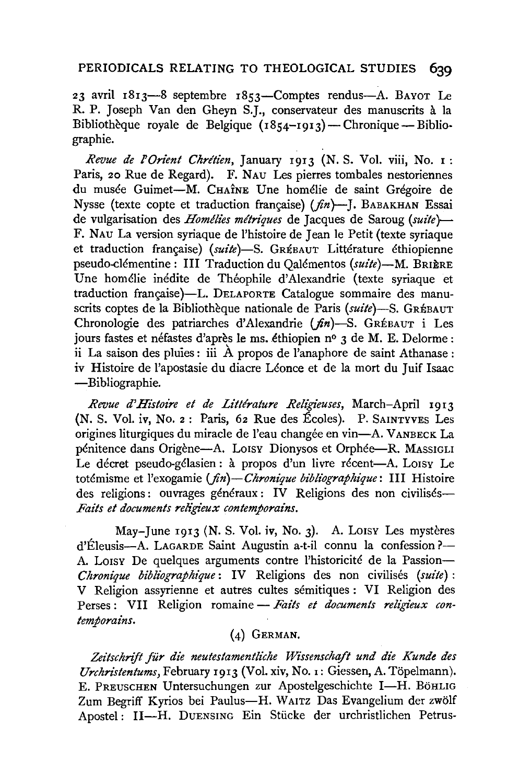## PERIODICALS RELATING TO THEOLOGICAL STUDIES **639**

23 avril 1813-8 septembre 1853-Comptes rendus-A. BAYOT Le R. P. Joseph Van den Gheyn S.J., conservateur des manuscrits a la Bibliothèque royale de Belgique  $(1854 - 1913)$ — Chronique—Bibliographie.

*Revue de l'Orlent Chrttlen,* January 1913 (N. S. Vol. viii, No. r: Paris, 20 Rue de Regard). F. NAu Les pierres tombales nestoriennes du musée Guimet-M. CHAÎNE Une homélie de saint Grégoire de Nysse (texte copte et traduction française)  $(f_n)$ -J. BABAKHAN Essai de vulgarisation des *Homtflles me'trlques* de Jacques de Saroug *(suite}-* F. NAu La version syriaque de l'histoire de Jean le Petit (texte syriaque et traduction française) (suite)-S. GREBAUT Littérature éthiopienne pseudo-clementine : Ill Traduction du Qalementos *(sulte)-M.* BRIERE Une homelie inedite de Theophile d'Alexandrie (texte syriaque et traduction française)-L. DELAPORTE Catalogue sommaire des manuscrits coptes de la Bibliothèque nationale de Paris (suite)-S. GRÉBAUT Chronologie des patriarches d'Alexandrie ( $\hat{n}$ n)-S. GRÉBAUT i Les jours fastes et néfastes d'après le ms. éthiopien nº 3 de M. E. Delorme : ii La saison des pluies : iii  $\hat{A}$  propos de l'anaphore de saint Athanase : iv Histoire de l'apostasie du diacre Léonce et de la mort du Juif Isaac -Bibliographie.

*Revue d'Hi'stot're et de Lz'tte'rature Relz'gieuses,* March-April 1913 (N. S. Vol. iv, No. 2 : Paris, 62 Rue des Eccles). P. SAINTYVES Les origines liturgiques du miracle de l'eau changee en vin-A. VANBECK La pénitence dans Origène—A. Lorsy Dionysos et Orphée—R. MASSIGLI Le décret pseudo-gélasien : à propos d'un livre récent--A. Lorsy Le totemisme et l'exogamie *(jin)-Chronlque bi'bllographlque:* Ill Histoire des religions: ouvrages généraux : IV Religions des non civilisés— *Faits et documents religieux contemporains.* 

May-June 1913 (N. S. Vol. iv, No. 3). A. Loisy Les mystères d'Éleusis---A. LAGARDE Saint Augustin a-t-il connu la confession?--A. Lorsy De quelques arguments contre l'historicité de la Passion-*Chronique bibllographique:* IV Religions des non civilises *(suite)* : V Religion assyrienne et autres cultes semitiques : VI Religion des Perses: VII Religion romaine - Faits et documents religieux con*temporalns.* 

# (4) GERMAN.

Zeitschrift für die neutestamentliche Wissenschaft und die Kunde des *Urchristentums,* February 1913 (Vol. xiv, No. 1: Giessen, A. Topelmann). E. PREUSCHEN Untersuchungen zur Apostelgeschichte I-H. BöHLIG Zum Begriff Kyrios bei Paulus-H. WAITZ Das Evangelium der zwölf Apostel: II-H. DUENSING Ein Stiicke der urchristlichen Petrus-